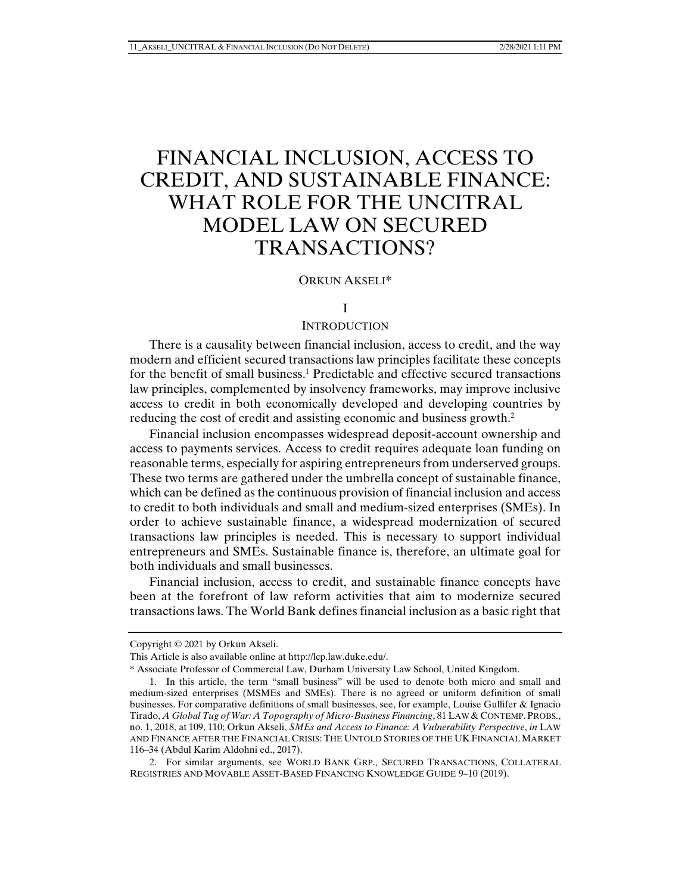# FINANCIAL INCLUSION, ACCESS TO CREDIT, AND SUSTAINABLE FINANCE: WHAT ROLE FOR THE UNCITRAL MODEL LAW ON SECURED TRANSACTIONS?

## ORKUN AKSELI\*

### I

## **INTRODUCTION**

There is a causality between financial inclusion, access to credit, and the way modern and efficient secured transactions law principles facilitate these concepts for the benefit of small business.<sup>1</sup> Predictable and effective secured transactions law principles, complemented by insolvency frameworks, may improve inclusive access to credit in both economically developed and developing countries by reducing the cost of credit and assisting economic and business growth.2

Financial inclusion encompasses widespread deposit-account ownership and access to payments services. Access to credit requires adequate loan funding on reasonable terms, especially for aspiring entrepreneurs from underserved groups. These two terms are gathered under the umbrella concept of sustainable finance, which can be defined as the continuous provision of financial inclusion and access to credit to both individuals and small and medium-sized enterprises (SMEs). In order to achieve sustainable finance, a widespread modernization of secured transactions law principles is needed. This is necessary to support individual entrepreneurs and SMEs. Sustainable finance is, therefore, an ultimate goal for both individuals and small businesses.

Financial inclusion, access to credit, and sustainable finance concepts have been at the forefront of law reform activities that aim to modernize secured transactions laws. The World Bank defines financial inclusion as a basic right that

Copyright © 2021 by Orkun Akseli.

This Article is also available online at http://lcp.law.duke.edu/.

<sup>\*</sup> Associate Professor of Commercial Law, Durham University Law School, United Kingdom.

 <sup>1.</sup> In this article, the term "small business" will be used to denote both micro and small and medium-sized enterprises (MSMEs and SMEs). There is no agreed or uniform definition of small businesses. For comparative definitions of small businesses, see, for example, Louise Gullifer & Ignacio Tirado, *A Global Tug of War: A Topography of Micro-Business Financing*, 81 LAW & CONTEMP. PROBS., no. 1, 2018, at 109, 110; Orkun Akseli, *SMEs and Access to Finance: A Vulnerability Perspective*, *in* LAW AND FINANCE AFTER THE FINANCIAL CRISIS: THE UNTOLD STORIES OF THE UK FINANCIAL MARKET 116–34 (Abdul Karim Aldohni ed., 2017).

 <sup>2.</sup> For similar arguments, see WORLD BANK GRP., SECURED TRANSACTIONS, COLLATERAL REGISTRIES AND MOVABLE ASSET-BASED FINANCING KNOWLEDGE GUIDE 9–10 (2019).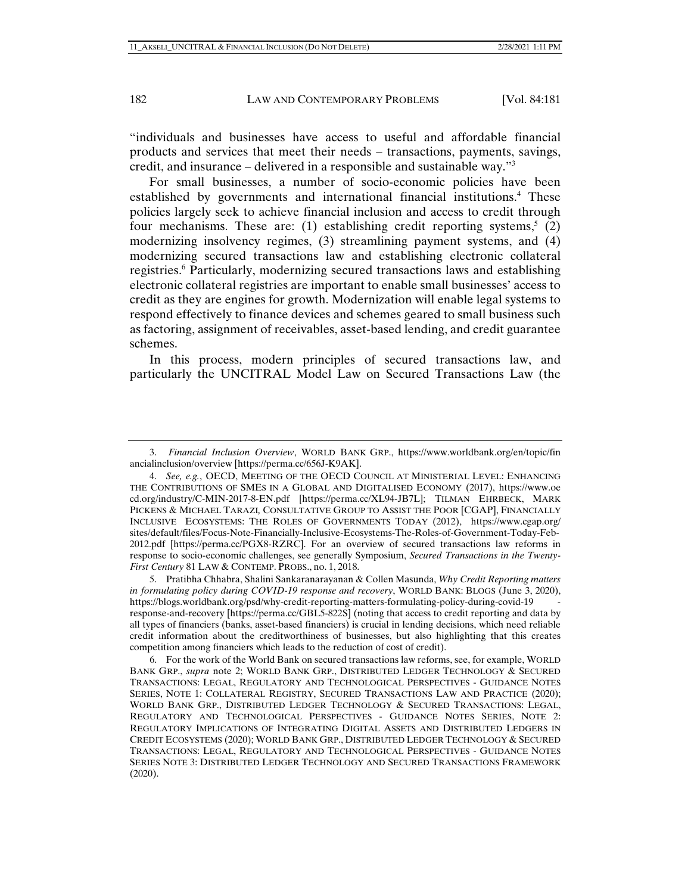"individuals and businesses have access to useful and affordable financial products and services that meet their needs – transactions, payments, savings, credit, and insurance – delivered in a responsible and sustainable way."3

For small businesses, a number of socio-economic policies have been established by governments and international financial institutions.<sup>4</sup> These policies largely seek to achieve financial inclusion and access to credit through four mechanisms. These are: (1) establishing credit reporting systems,<sup>5</sup> (2) modernizing insolvency regimes, (3) streamlining payment systems, and (4) modernizing secured transactions law and establishing electronic collateral registries.<sup>6</sup> Particularly, modernizing secured transactions laws and establishing electronic collateral registries are important to enable small businesses' access to credit as they are engines for growth. Modernization will enable legal systems to respond effectively to finance devices and schemes geared to small business such as factoring, assignment of receivables, asset-based lending, and credit guarantee schemes.

In this process, modern principles of secured transactions law, and particularly the UNCITRAL Model Law on Secured Transactions Law (the

 <sup>3.</sup> *Financial Inclusion Overview*, WORLD BANK GRP., https://www.worldbank.org/en/topic/fin ancialinclusion/overview [https://perma.cc/656J-K9AK].

 <sup>4.</sup> *See, e.g.*, OECD, MEETING OF THE OECD COUNCIL AT MINISTERIAL LEVEL: ENHANCING THE CONTRIBUTIONS OF SMES IN A GLOBAL AND DIGITALISED ECONOMY (2017), https://www.oe cd.org/industry/C-MIN-2017-8-EN.pdf [https://perma.cc/XL94-JB7L]; TILMAN EHRBECK, MARK PICKENS & MICHAEL TARAZI*,* CONSULTATIVE GROUP TO ASSIST THE POOR [CGAP], FINANCIALLY INCLUSIVE ECOSYSTEMS: THE ROLES OF GOVERNMENTS TODAY (2012), https://www.cgap.org/ sites/default/files/Focus-Note-Financially-Inclusive-Ecosystems-The-Roles-of-Government-Today-Feb-2012.pdf [https://perma.cc/PGX8-RZRC]. For an overview of secured transactions law reforms in response to socio-economic challenges, see generally Symposium, *Secured Transactions in the Twenty-First Century* 81 LAW & CONTEMP. PROBS., no. 1, 2018.

 <sup>5.</sup> Pratibha Chhabra, Shalini Sankaranarayanan & Collen Masunda, *Why Credit Reporting matters in formulating policy during COVID-19 response and recovery*, WORLD BANK: BLOGS (June 3, 2020), https://blogs.worldbank.org/psd/why-credit-reporting-matters-formulating-policy-during-covid-19 response-and-recovery [https://perma.cc/GBL5-822S] (noting that access to credit reporting and data by all types of financiers (banks, asset-based financiers) is crucial in lending decisions, which need reliable credit information about the creditworthiness of businesses, but also highlighting that this creates competition among financiers which leads to the reduction of cost of credit).

 <sup>6.</sup> For the work of the World Bank on secured transactions law reforms, see, for example, WORLD BANK GRP., *supra* note 2; WORLD BANK GRP., DISTRIBUTED LEDGER TECHNOLOGY & SECURED TRANSACTIONS: LEGAL, REGULATORY AND TECHNOLOGICAL PERSPECTIVES - GUIDANCE NOTES SERIES, NOTE 1: COLLATERAL REGISTRY, SECURED TRANSACTIONS LAW AND PRACTICE (2020); WORLD BANK GRP., DISTRIBUTED LEDGER TECHNOLOGY & SECURED TRANSACTIONS: LEGAL, REGULATORY AND TECHNOLOGICAL PERSPECTIVES - GUIDANCE NOTES SERIES, NOTE 2: REGULATORY IMPLICATIONS OF INTEGRATING DIGITAL ASSETS AND DISTRIBUTED LEDGERS IN CREDIT ECOSYSTEMS (2020); WORLD BANK GRP., DISTRIBUTED LEDGER TECHNOLOGY & SECURED TRANSACTIONS: LEGAL, REGULATORY AND TECHNOLOGICAL PERSPECTIVES - GUIDANCE NOTES SERIES NOTE 3: DISTRIBUTED LEDGER TECHNOLOGY AND SECURED TRANSACTIONS FRAMEWORK (2020).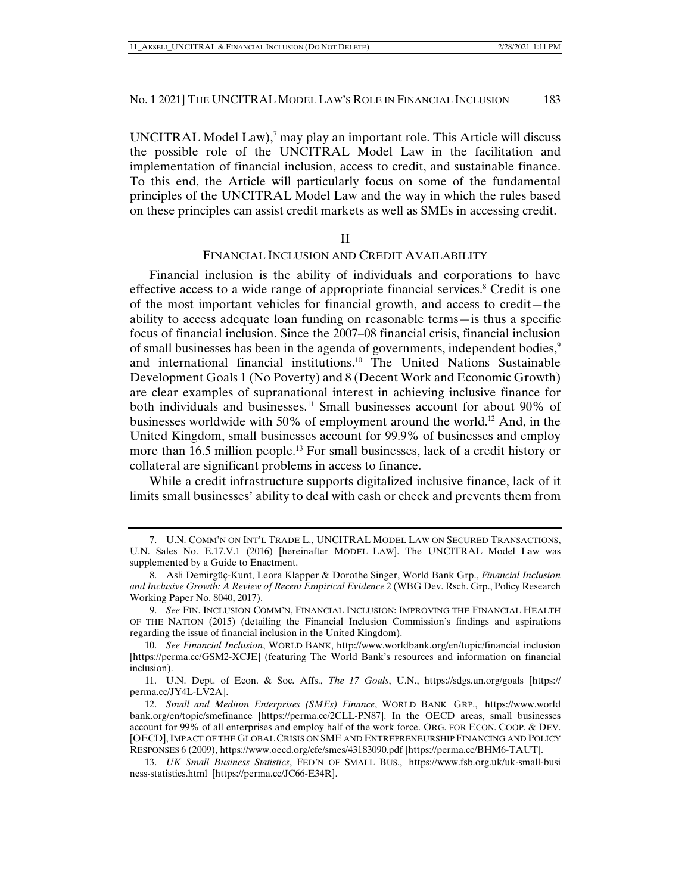UNCITRAL Model Law), $^7$  may play an important role. This Article will discuss the possible role of the UNCITRAL Model Law in the facilitation and implementation of financial inclusion, access to credit, and sustainable finance. To this end, the Article will particularly focus on some of the fundamental principles of the UNCITRAL Model Law and the way in which the rules based on these principles can assist credit markets as well as SMEs in accessing credit.

II

## FINANCIAL INCLUSION AND CREDIT AVAILABILITY

Financial inclusion is the ability of individuals and corporations to have effective access to a wide range of appropriate financial services.<sup>8</sup> Credit is one of the most important vehicles for financial growth, and access to credit—the ability to access adequate loan funding on reasonable terms—is thus a specific focus of financial inclusion. Since the 2007–08 financial crisis, financial inclusion of small businesses has been in the agenda of governments, independent bodies,<sup>9</sup> and international financial institutions.10 The United Nations Sustainable Development Goals 1 (No Poverty) and 8 (Decent Work and Economic Growth) are clear examples of supranational interest in achieving inclusive finance for both individuals and businesses.<sup>11</sup> Small businesses account for about 90% of businesses worldwide with 50% of employment around the world.<sup>12</sup> And, in the United Kingdom, small businesses account for 99.9% of businesses and employ more than 16.5 million people.<sup>13</sup> For small businesses, lack of a credit history or collateral are significant problems in access to finance.

While a credit infrastructure supports digitalized inclusive finance, lack of it limits small businesses' ability to deal with cash or check and prevents them from

 <sup>7.</sup> U.N. COMM'N ON INT'L TRADE L., UNCITRAL MODEL LAW ON SECURED TRANSACTIONS, U.N. Sales No. E.17.V.1 (2016) [hereinafter MODEL LAW]. The UNCITRAL Model Law was supplemented by a Guide to Enactment.

 <sup>8.</sup> Asli Demirgüç-Kunt, Leora Klapper & Dorothe Singer, World Bank Grp., *Financial Inclusion and Inclusive Growth: A Review of Recent Empirical Evidence* 2 (WBG Dev. Rsch. Grp., Policy Research Working Paper No. 8040, 2017).

 <sup>9.</sup> *See* FIN. INCLUSION COMM'N, FINANCIAL INCLUSION: IMPROVING THE FINANCIAL HEALTH OF THE NATION (2015) (detailing the Financial Inclusion Commission's findings and aspirations regarding the issue of financial inclusion in the United Kingdom).

 <sup>10.</sup> *See Financial Inclusion*, WORLD BANK, http://www.worldbank.org/en/topic/financial inclusion [https://perma.cc/GSM2-XCJE] (featuring The World Bank's resources and information on financial inclusion).

 <sup>11.</sup> U.N. Dept. of Econ. & Soc. Affs., *The 17 Goals*, U.N., https://sdgs.un.org/goals [https:// perma.cc/JY4L-LV2A].

 <sup>12.</sup> *Small and Medium Enterprises (SMEs) Finance*, WORLD BANK GRP., https://www.world bank.org/en/topic/smefinance [https://perma.cc/2CLL-PN87]. In the OECD areas, small businesses account for 99% of all enterprises and employ half of the work force. ORG. FOR ECON. COOP. & DEV. [OECD], IMPACT OF THE GLOBAL CRISIS ON SME AND ENTREPRENEURSHIP FINANCING AND POLICY RESPONSES 6 (2009), https://www.oecd.org/cfe/smes/43183090.pdf [https://perma.cc/BHM6-TAUT].

 <sup>13.</sup> *UK Small Business Statistics*, FED'N OF SMALL BUS., https://www.fsb.org.uk/uk-small-busi ness-statistics.html [https://perma.cc/JC66-E34R].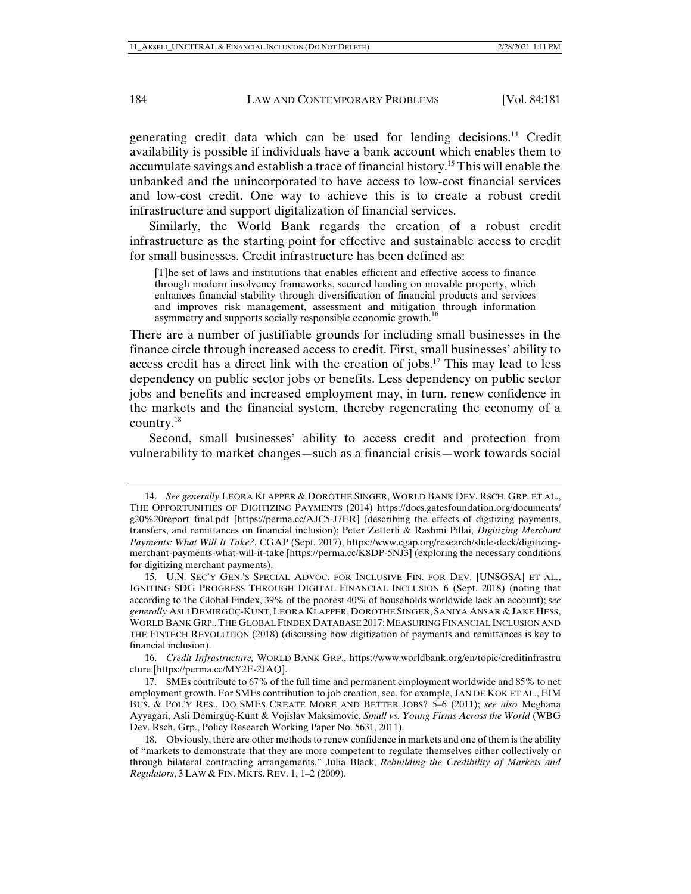generating credit data which can be used for lending decisions.14 Credit availability is possible if individuals have a bank account which enables them to accumulate savings and establish a trace of financial history.15 This will enable the unbanked and the unincorporated to have access to low-cost financial services and low-cost credit. One way to achieve this is to create a robust credit infrastructure and support digitalization of financial services.

Similarly, the World Bank regards the creation of a robust credit infrastructure as the starting point for effective and sustainable access to credit for small businesses. Credit infrastructure has been defined as:

[T]he set of laws and institutions that enables efficient and effective access to finance through modern insolvency frameworks, secured lending on movable property, which enhances financial stability through diversification of financial products and services and improves risk management, assessment and mitigation through information asymmetry and supports socially responsible economic growth.<sup>16</sup>

There are a number of justifiable grounds for including small businesses in the finance circle through increased access to credit. First, small businesses' ability to access credit has a direct link with the creation of jobs.<sup>17</sup> This may lead to less dependency on public sector jobs or benefits. Less dependency on public sector jobs and benefits and increased employment may, in turn, renew confidence in the markets and the financial system, thereby regenerating the economy of a country.18

Second, small businesses' ability to access credit and protection from vulnerability to market changes—such as a financial crisis—work towards social

 16. *Credit Infrastructure,* WORLD BANK GRP., https://www.worldbank.org/en/topic/creditinfrastru cture [https://perma.cc/MY2E-2JAQ].

 <sup>14.</sup> *See generally* LEORA KLAPPER & DOROTHE SINGER, WORLD BANK DEV. RSCH. GRP. ET AL., THE OPPORTUNITIES OF DIGITIZING PAYMENTS (2014) https://docs.gatesfoundation.org/documents/ g20%20report\_final.pdf [https://perma.cc/AJC5-J7ER] (describing the effects of digitizing payments, transfers, and remittances on financial inclusion); Peter Zetterli & Rashmi Pillai, *Digitizing Merchant Payments: What Will It Take?*, CGAP (Sept. 2017), https://www.cgap.org/research/slide-deck/digitizingmerchant-payments-what-will-it-take [https://perma.cc/K8DP-5NJ3] (exploring the necessary conditions for digitizing merchant payments).

 <sup>15.</sup> U.N. SEC'Y GEN.'S SPECIAL ADVOC. FOR INCLUSIVE FIN. FOR DEV. [UNSGSA] ET AL., IGNITING SDG PROGRESS THROUGH DIGITAL FINANCIAL INCLUSION 6 (Sept. 2018) (noting that according to the Global Findex, 39% of the poorest 40% of households worldwide lack an account); s*ee generally* ASLI DEMIRGÜÇ-KUNT,LEORA KLAPPER, DOROTHE SINGER, SANIYA ANSAR & JAKE HESS, WORLD BANK GRP.,THE GLOBAL FINDEX DATABASE 2017: MEASURING FINANCIAL INCLUSION AND THE FINTECH REVOLUTION (2018) (discussing how digitization of payments and remittances is key to financial inclusion).

 <sup>17.</sup> SMEs contribute to 67% of the full time and permanent employment worldwide and 85% to net employment growth. For SMEs contribution to job creation, see, for example, JAN DE KOK ET AL., EIM BUS. & POL'Y RES., DO SMES CREATE MORE AND BETTER JOBS? 5–6 (2011); *see also* Meghana Ayyagari, Asli Demirgüç-Kunt & Vojislav Maksimovic, *Small vs. Young Firms Across the World* (WBG Dev. Rsch. Grp., Policy Research Working Paper No. 5631, 2011).

 <sup>18.</sup> Obviously, there are other methods to renew confidence in markets and one of them is the ability of "markets to demonstrate that they are more competent to regulate themselves either collectively or through bilateral contracting arrangements." Julia Black, *Rebuilding the Credibility of Markets and Regulators*, 3 LAW & FIN. MKTS. REV. 1, 1–2 (2009).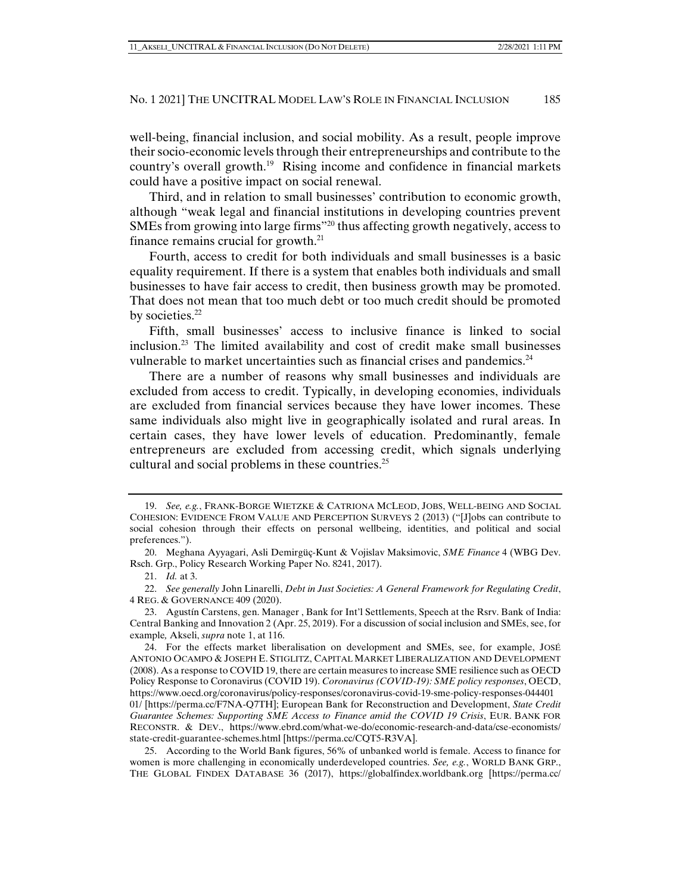well-being, financial inclusion, and social mobility. As a result, people improve their socio-economic levels through their entrepreneurships and contribute to the country's overall growth.<sup>19</sup> Rising income and confidence in financial markets could have a positive impact on social renewal.

Third, and in relation to small businesses' contribution to economic growth, although "weak legal and financial institutions in developing countries prevent SMEs from growing into large firms"20 thus affecting growth negatively, access to finance remains crucial for growth.<sup>21</sup>

Fourth, access to credit for both individuals and small businesses is a basic equality requirement. If there is a system that enables both individuals and small businesses to have fair access to credit, then business growth may be promoted. That does not mean that too much debt or too much credit should be promoted by societies.<sup>22</sup>

Fifth, small businesses' access to inclusive finance is linked to social inclusion.23 The limited availability and cost of credit make small businesses vulnerable to market uncertainties such as financial crises and pandemics.<sup>24</sup>

There are a number of reasons why small businesses and individuals are excluded from access to credit. Typically, in developing economies, individuals are excluded from financial services because they have lower incomes. These same individuals also might live in geographically isolated and rural areas. In certain cases, they have lower levels of education. Predominantly, female entrepreneurs are excluded from accessing credit, which signals underlying cultural and social problems in these countries.<sup>25</sup>

21. *Id.* at 3.

 22. *See generally* John Linarelli, *Debt in Just Societies: A General Framework for Regulating Credit*, 4 REG. & GOVERNANCE 409 (2020).

 23. Agustín Carstens, gen. Manager , Bank for Int'l Settlements, Speech at the Rsrv. Bank of India: Central Banking and Innovation 2 (Apr. 25, 2019). For a discussion of social inclusion and SMEs, see, for example*,* Akseli, *supra* note 1, at 116.

 <sup>19.</sup> *See, e.g.*, FRANK-BORGE WIETZKE & CATRIONA MCLEOD, JOBS, WELL-BEING AND SOCIAL COHESION: EVIDENCE FROM VALUE AND PERCEPTION SURVEYS 2 (2013) ("[J]obs can contribute to social cohesion through their effects on personal wellbeing, identities, and political and social preferences.").

 <sup>20.</sup> Meghana Ayyagari, Asli Demirgüç-Kunt & Vojislav Maksimovic, *SME Finance* 4 (WBG Dev. Rsch. Grp., Policy Research Working Paper No. 8241, 2017).

 <sup>24.</sup> For the effects market liberalisation on development and SMEs, see, for example, JOSÉ ANTONIO OCAMPO & JOSEPH E. STIGLITZ, CAPITAL MARKET LIBERALIZATION AND DEVELOPMENT (2008). As a response to COVID 19, there are certain measures to increase SME resilience such as OECD Policy Response to Coronavirus (COVID 19). *Coronavirus (COVID-19): SME policy responses*, OECD, https://www.oecd.org/coronavirus/policy-responses/coronavirus-covid-19-sme-policy-responses-044401 01/ [https://perma.cc/F7NA-Q7TH]; European Bank for Reconstruction and Development, *State Credit Guarantee Schemes: Supporting SME Access to Finance amid the COVID 19 Crisis*, EUR. BANK FOR RECONSTR. & DEV., https://www.ebrd.com/what-we-do/economic-research-and-data/cse-economists/ state-credit-guarantee-schemes.html [https://perma.cc/CQT5-R3VA].

 <sup>25.</sup> According to the World Bank figures, 56% of unbanked world is female. Access to finance for women is more challenging in economically underdeveloped countries. *See, e.g.*, WORLD BANK GRP., THE GLOBAL FINDEX DATABASE 36 (2017), https://globalfindex.worldbank.org [https://perma.cc/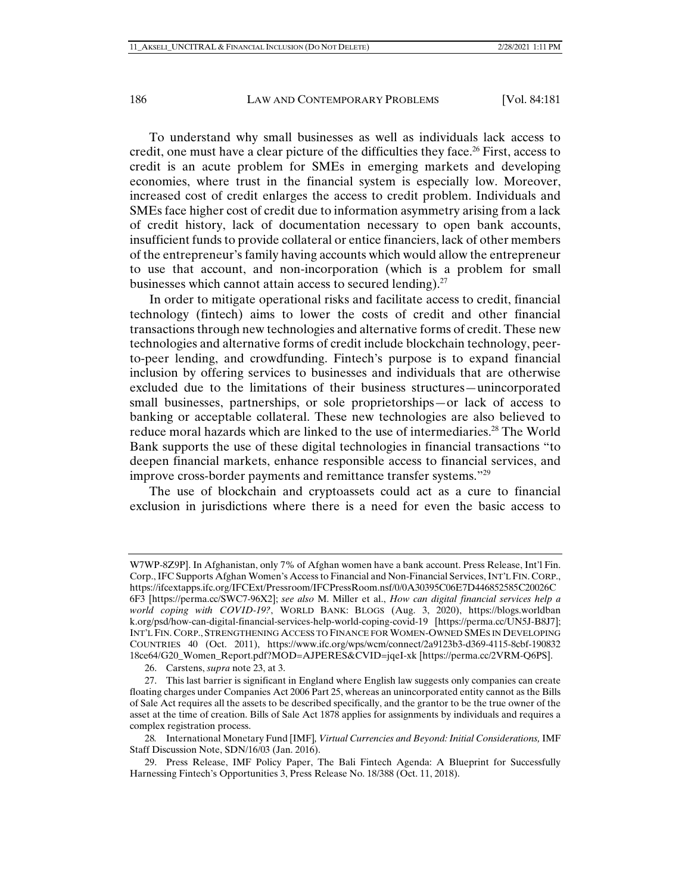To understand why small businesses as well as individuals lack access to credit, one must have a clear picture of the difficulties they face.<sup>26</sup> First, access to credit is an acute problem for SMEs in emerging markets and developing economies, where trust in the financial system is especially low. Moreover, increased cost of credit enlarges the access to credit problem. Individuals and SMEs face higher cost of credit due to information asymmetry arising from a lack of credit history, lack of documentation necessary to open bank accounts, insufficient funds to provide collateral or entice financiers, lack of other members of the entrepreneur's family having accounts which would allow the entrepreneur to use that account, and non-incorporation (which is a problem for small businesses which cannot attain access to secured lending). $27$ 

In order to mitigate operational risks and facilitate access to credit, financial technology (fintech) aims to lower the costs of credit and other financial transactions through new technologies and alternative forms of credit. These new technologies and alternative forms of credit include blockchain technology, peerto-peer lending, and crowdfunding. Fintech's purpose is to expand financial inclusion by offering services to businesses and individuals that are otherwise excluded due to the limitations of their business structures—unincorporated small businesses, partnerships, or sole proprietorships—or lack of access to banking or acceptable collateral. These new technologies are also believed to reduce moral hazards which are linked to the use of intermediaries.<sup>28</sup> The World Bank supports the use of these digital technologies in financial transactions "to deepen financial markets, enhance responsible access to financial services, and improve cross-border payments and remittance transfer systems."29

The use of blockchain and cryptoassets could act as a cure to financial exclusion in jurisdictions where there is a need for even the basic access to

26. Carstens, *supra* note 23, at 3.

W7WP-8Z9P]. In Afghanistan, only 7% of Afghan women have a bank account. Press Release, Int'l Fin. Corp., IFC Supports Afghan Women's Access to Financial and Non-Financial Services, INT'L FIN. CORP., https://ifcextapps.ifc.org/IFCExt/Pressroom/IFCPressRoom.nsf/0/0A30395C06E7D446852585C20026C 6F3 [https://perma.cc/SWC7-96X2]; *see also* M. Miller et al., *How can digital financial services help a world coping with COVID-19?*, WORLD BANK: BLOGS (Aug. 3, 2020), https://blogs.worldban k.org/psd/how-can-digital-financial-services-help-world-coping-covid-19 [https://perma.cc/UN5J-B8J7]; INT'L FIN. CORP., STRENGTHENING ACCESS TO FINANCE FOR WOMEN-OWNED SMES IN DEVELOPING COUNTRIES 40 (Oct. 2011), https://www.ifc.org/wps/wcm/connect/2a9123b3-d369-4115-8cbf-190832 18ce64/G20\_Women\_Report.pdf?MOD=AJPERES&CVID=jqeI-xk [https://perma.cc/2VRM-Q6PS].

 <sup>27.</sup> This last barrier is significant in England where English law suggests only companies can create floating charges under Companies Act 2006 Part 25, whereas an unincorporated entity cannot as the Bills of Sale Act requires all the assets to be described specifically, and the grantor to be the true owner of the asset at the time of creation. Bills of Sale Act 1878 applies for assignments by individuals and requires a complex registration process.

<sup>28</sup>*.* International Monetary Fund [IMF]*, Virtual Currencies and Beyond: Initial Considerations,* IMF Staff Discussion Note, SDN/16/03 (Jan. 2016).

 <sup>29.</sup> Press Release, IMF Policy Paper, The Bali Fintech Agenda: A Blueprint for Successfully Harnessing Fintech's Opportunities 3, Press Release No. 18/388 (Oct. 11, 2018).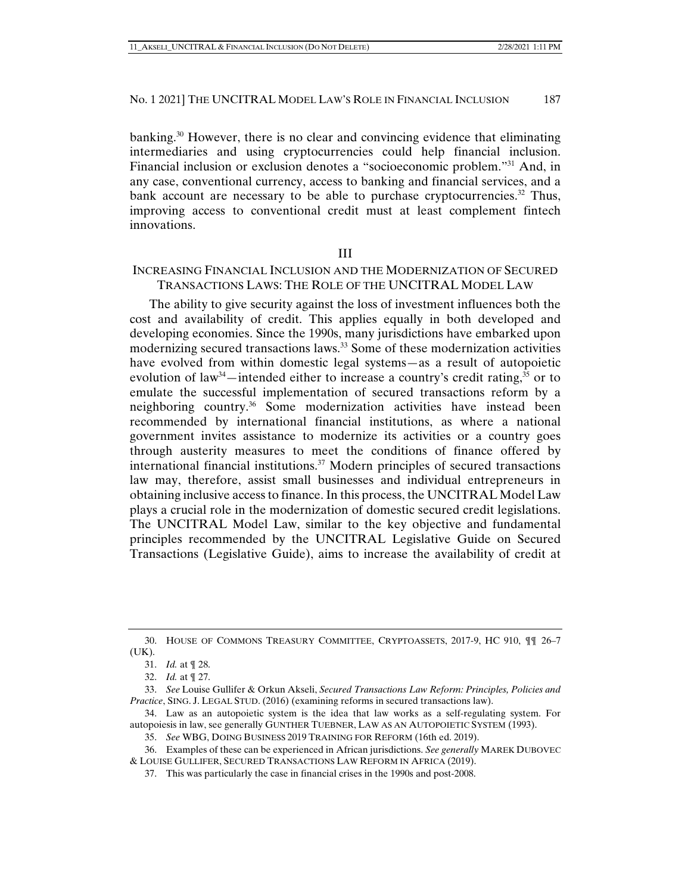banking.<sup>30</sup> However, there is no clear and convincing evidence that eliminating intermediaries and using cryptocurrencies could help financial inclusion. Financial inclusion or exclusion denotes a "socioeconomic problem."31 And, in any case, conventional currency, access to banking and financial services, and a bank account are necessary to be able to purchase cryptocurrencies.<sup>32</sup> Thus, improving access to conventional credit must at least complement fintech innovations.

#### III

# INCREASING FINANCIAL INCLUSION AND THE MODERNIZATION OF SECURED TRANSACTIONS LAWS: THE ROLE OF THE UNCITRAL MODEL LAW

The ability to give security against the loss of investment influences both the cost and availability of credit. This applies equally in both developed and developing economies. Since the 1990s, many jurisdictions have embarked upon modernizing secured transactions laws.33 Some of these modernization activities have evolved from within domestic legal systems—as a result of autopoietic evolution of law<sup>34</sup>—intended either to increase a country's credit rating,<sup>35</sup> or to emulate the successful implementation of secured transactions reform by a neighboring country.36 Some modernization activities have instead been recommended by international financial institutions, as where a national government invites assistance to modernize its activities or a country goes through austerity measures to meet the conditions of finance offered by international financial institutions. $37$  Modern principles of secured transactions law may, therefore, assist small businesses and individual entrepreneurs in obtaining inclusive access to finance. In this process, the UNCITRAL Model Law plays a crucial role in the modernization of domestic secured credit legislations. The UNCITRAL Model Law, similar to the key objective and fundamental principles recommended by the UNCITRAL Legislative Guide on Secured Transactions (Legislative Guide), aims to increase the availability of credit at

 <sup>30.</sup> HOUSE OF COMMONS TREASURY COMMITTEE, CRYPTOASSETS, 2017-9, HC 910, ¶¶ 26–7 (UK).

 <sup>31.</sup> *Id.* at ¶ 28.

 <sup>32.</sup> *Id.* at ¶ 27.

 <sup>33.</sup> *See* Louise Gullifer & Orkun Akseli, *Secured Transactions Law Reform: Principles, Policies and Practice*, SING. J. LEGAL STUD. (2016) (examining reforms in secured transactions law).

 <sup>34.</sup> Law as an autopoietic system is the idea that law works as a self-regulating system. For autopoiesis in law, see generally GUNTHER TUEBNER, LAW AS AN AUTOPOIETIC SYSTEM (1993).

 <sup>35.</sup> *See* WBG, DOING BUSINESS 2019 TRAINING FOR REFORM (16th ed. 2019).

 <sup>36.</sup> Examples of these can be experienced in African jurisdictions. *See generally* MAREK DUBOVEC & LOUISE GULLIFER, SECURED TRANSACTIONS LAW REFORM IN AFRICA (2019).

 <sup>37.</sup> This was particularly the case in financial crises in the 1990s and post-2008.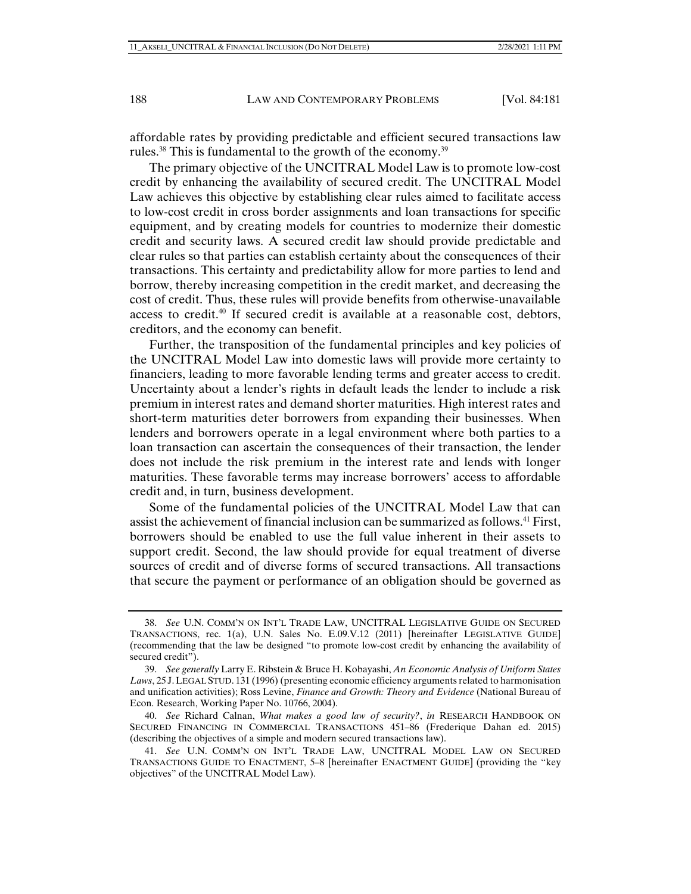affordable rates by providing predictable and efficient secured transactions law rules.<sup>38</sup> This is fundamental to the growth of the economy.<sup>39</sup>

The primary objective of the UNCITRAL Model Law is to promote low-cost credit by enhancing the availability of secured credit. The UNCITRAL Model Law achieves this objective by establishing clear rules aimed to facilitate access to low-cost credit in cross border assignments and loan transactions for specific equipment, and by creating models for countries to modernize their domestic credit and security laws. A secured credit law should provide predictable and clear rules so that parties can establish certainty about the consequences of their transactions. This certainty and predictability allow for more parties to lend and borrow, thereby increasing competition in the credit market, and decreasing the cost of credit. Thus, these rules will provide benefits from otherwise-unavailable access to credit.40 If secured credit is available at a reasonable cost, debtors, creditors, and the economy can benefit.

Further, the transposition of the fundamental principles and key policies of the UNCITRAL Model Law into domestic laws will provide more certainty to financiers, leading to more favorable lending terms and greater access to credit. Uncertainty about a lender's rights in default leads the lender to include a risk premium in interest rates and demand shorter maturities. High interest rates and short-term maturities deter borrowers from expanding their businesses. When lenders and borrowers operate in a legal environment where both parties to a loan transaction can ascertain the consequences of their transaction, the lender does not include the risk premium in the interest rate and lends with longer maturities. These favorable terms may increase borrowers' access to affordable credit and, in turn, business development.

Some of the fundamental policies of the UNCITRAL Model Law that can assist the achievement of financial inclusion can be summarized as follows.41 First, borrowers should be enabled to use the full value inherent in their assets to support credit. Second, the law should provide for equal treatment of diverse sources of credit and of diverse forms of secured transactions. All transactions that secure the payment or performance of an obligation should be governed as

 <sup>38.</sup> *See* U.N. COMM'N ON INT'L TRADE LAW, UNCITRAL LEGISLATIVE GUIDE ON SECURED TRANSACTIONS, rec. 1(a), U.N. Sales No. E.09.V.12 (2011) [hereinafter LEGISLATIVE GUIDE] (recommending that the law be designed "to promote low-cost credit by enhancing the availability of secured credit").

 <sup>39.</sup> *See generally* Larry E. Ribstein & Bruce H. Kobayashi, *An Economic Analysis of Uniform States Laws*, 25 J.LEGAL STUD. 131 (1996) (presenting economic efficiency arguments related to harmonisation and unification activities); Ross Levine, *Finance and Growth: Theory and Evidence* (National Bureau of Econ. Research, Working Paper No. 10766, 2004).

 <sup>40.</sup> *See* Richard Calnan, *What makes a good law of security?*, *in* RESEARCH HANDBOOK ON SECURED FINANCING IN COMMERCIAL TRANSACTIONS 451–86 (Frederique Dahan ed. 2015) (describing the objectives of a simple and modern secured transactions law).

 <sup>41.</sup> *See* U.N. COMM'N ON INT'L TRADE LAW, UNCITRAL MODEL LAW ON SECURED TRANSACTIONS GUIDE TO ENACTMENT, 5–8 [hereinafter ENACTMENT GUIDE] (providing the "key objectives" of the UNCITRAL Model Law).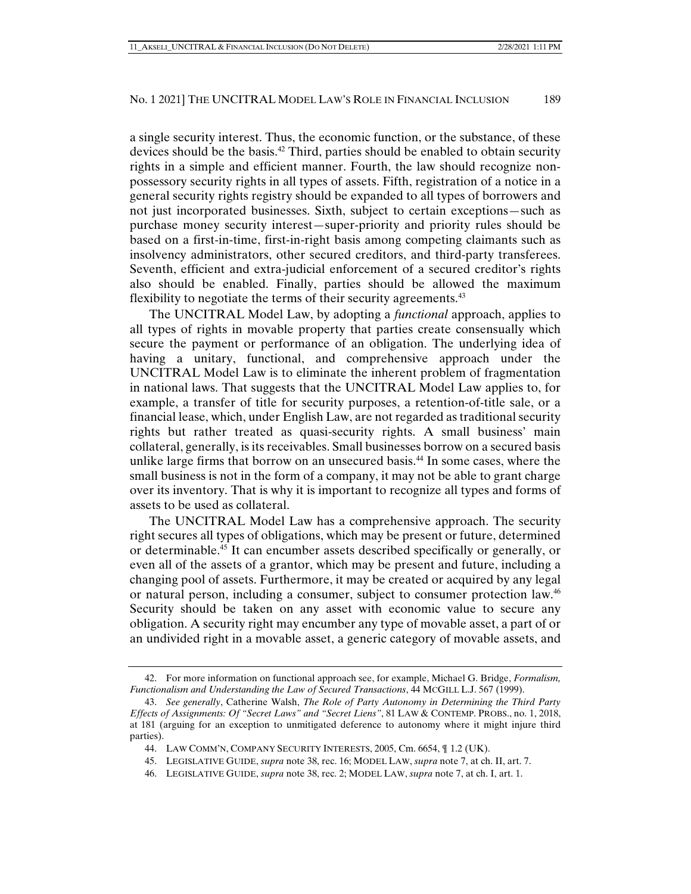a single security interest. Thus, the economic function, or the substance, of these devices should be the basis.<sup>42</sup> Third, parties should be enabled to obtain security rights in a simple and efficient manner. Fourth, the law should recognize nonpossessory security rights in all types of assets. Fifth, registration of a notice in a general security rights registry should be expanded to all types of borrowers and not just incorporated businesses. Sixth, subject to certain exceptions—such as purchase money security interest—super-priority and priority rules should be based on a first-in-time, first-in-right basis among competing claimants such as insolvency administrators, other secured creditors, and third-party transferees. Seventh, efficient and extra-judicial enforcement of a secured creditor's rights also should be enabled. Finally, parties should be allowed the maximum flexibility to negotiate the terms of their security agreements.<sup>43</sup>

The UNCITRAL Model Law, by adopting a *functional* approach, applies to all types of rights in movable property that parties create consensually which secure the payment or performance of an obligation. The underlying idea of having a unitary, functional, and comprehensive approach under the UNCITRAL Model Law is to eliminate the inherent problem of fragmentation in national laws. That suggests that the UNCITRAL Model Law applies to, for example, a transfer of title for security purposes, a retention-of-title sale, or a financial lease, which, under English Law, are not regarded as traditional security rights but rather treated as quasi-security rights. A small business' main collateral, generally, is its receivables. Small businesses borrow on a secured basis unlike large firms that borrow on an unsecured basis.<sup>44</sup> In some cases, where the small business is not in the form of a company, it may not be able to grant charge over its inventory. That is why it is important to recognize all types and forms of assets to be used as collateral.

The UNCITRAL Model Law has a comprehensive approach. The security right secures all types of obligations, which may be present or future, determined or determinable.45 It can encumber assets described specifically or generally, or even all of the assets of a grantor, which may be present and future, including a changing pool of assets. Furthermore, it may be created or acquired by any legal or natural person, including a consumer, subject to consumer protection law.46 Security should be taken on any asset with economic value to secure any obligation. A security right may encumber any type of movable asset, a part of or an undivided right in a movable asset, a generic category of movable assets, and

 <sup>42.</sup> For more information on functional approach see, for example, Michael G. Bridge, *Formalism, Functionalism and Understanding the Law of Secured Transactions*, 44 MCGILL L.J. 567 (1999).

 <sup>43.</sup> *See generally*, Catherine Walsh, *The Role of Party Autonomy in Determining the Third Party Effects of Assignments: Of "Secret Laws" and "Secret Liens"*, 81 LAW & CONTEMP. PROBS., no. 1, 2018, at 181 (arguing for an exception to unmitigated deference to autonomy where it might injure third parties).

 <sup>44.</sup> LAW COMM'N, COMPANY SECURITY INTERESTS, 2005, Cm. 6654, ¶ 1.2 (UK).

 <sup>45.</sup> LEGISLATIVE GUIDE, *supra* note 38, rec. 16; MODEL LAW, *supra* note 7, at ch. II, art. 7.

 <sup>46.</sup> LEGISLATIVE GUIDE, *supra* note 38, rec. 2; MODEL LAW, *supra* note 7, at ch. I, art. 1.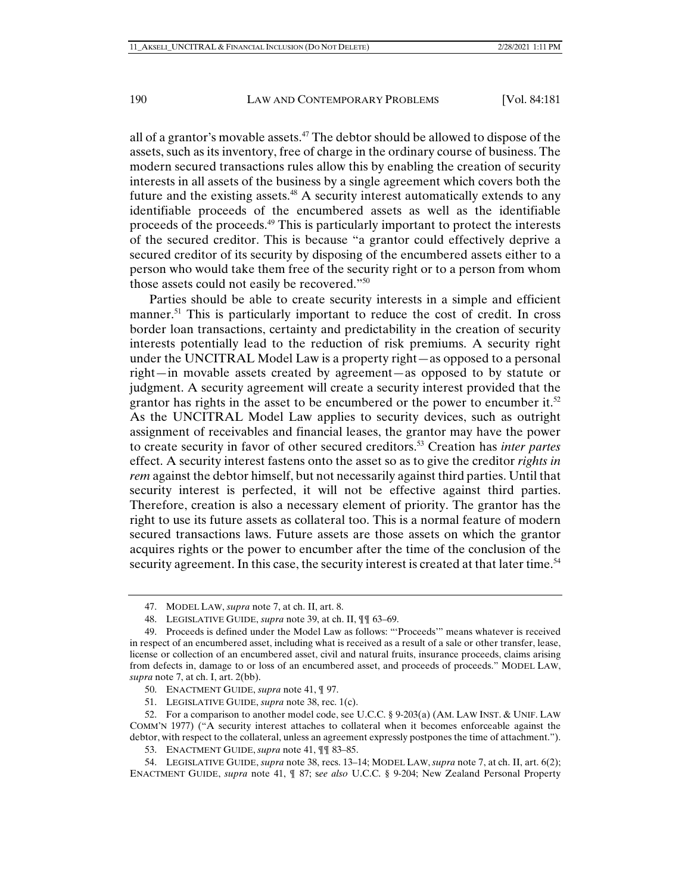all of a grantor's movable assets. $47$  The debtor should be allowed to dispose of the assets, such as its inventory, free of charge in the ordinary course of business. The modern secured transactions rules allow this by enabling the creation of security interests in all assets of the business by a single agreement which covers both the future and the existing assets.<sup>48</sup> A security interest automatically extends to any identifiable proceeds of the encumbered assets as well as the identifiable proceeds of the proceeds.49 This is particularly important to protect the interests of the secured creditor. This is because "a grantor could effectively deprive a secured creditor of its security by disposing of the encumbered assets either to a person who would take them free of the security right or to a person from whom those assets could not easily be recovered."50

Parties should be able to create security interests in a simple and efficient manner.<sup>51</sup> This is particularly important to reduce the cost of credit. In cross border loan transactions, certainty and predictability in the creation of security interests potentially lead to the reduction of risk premiums. A security right under the UNCITRAL Model Law is a property right—as opposed to a personal right—in movable assets created by agreement—as opposed to by statute or judgment. A security agreement will create a security interest provided that the grantor has rights in the asset to be encumbered or the power to encumber it.<sup>52</sup> As the UNCITRAL Model Law applies to security devices, such as outright assignment of receivables and financial leases, the grantor may have the power to create security in favor of other secured creditors.53 Creation has *inter partes* effect. A security interest fastens onto the asset so as to give the creditor *rights in rem* against the debtor himself, but not necessarily against third parties. Until that security interest is perfected, it will not be effective against third parties. Therefore, creation is also a necessary element of priority. The grantor has the right to use its future assets as collateral too. This is a normal feature of modern secured transactions laws. Future assets are those assets on which the grantor acquires rights or the power to encumber after the time of the conclusion of the security agreement. In this case, the security interest is created at that later time.<sup>54</sup>

 <sup>47.</sup> MODEL LAW, *supra* note 7, at ch. II, art. 8.

 <sup>48.</sup> LEGISLATIVE GUIDE, *supra* note 39, at ch. II, ¶¶ 63–69.

 <sup>49.</sup> Proceeds is defined under the Model Law as follows: "'Proceeds'" means whatever is received in respect of an encumbered asset, including what is received as a result of a sale or other transfer, lease, license or collection of an encumbered asset, civil and natural fruits, insurance proceeds, claims arising from defects in, damage to or loss of an encumbered asset, and proceeds of proceeds." MODEL LAW, *supra* note 7, at ch. I, art. 2(bb).

 <sup>50.</sup> ENACTMENT GUIDE, *supra* note 41, ¶ 97.

 <sup>51.</sup> LEGISLATIVE GUIDE, *supra* note 38, rec. 1(c).

 <sup>52.</sup> For a comparison to another model code, see U.C.C. § 9-203(a) (AM. LAW INST. & UNIF. LAW COMM'N 1977) ("A security interest attaches to collateral when it becomes enforceable against the debtor, with respect to the collateral, unless an agreement expressly postpones the time of attachment.").

 <sup>53.</sup> ENACTMENT GUIDE, *supra* note 41, ¶¶ 83–85.

 <sup>54.</sup> LEGISLATIVE GUIDE, *supra* note 38, recs. 13–14; MODEL LAW, *supra* note 7, at ch. II, art. 6(2); ENACTMENT GUIDE, *supra* note 41, ¶ 87; s*ee also* U.C.C. § 9-204; New Zealand Personal Property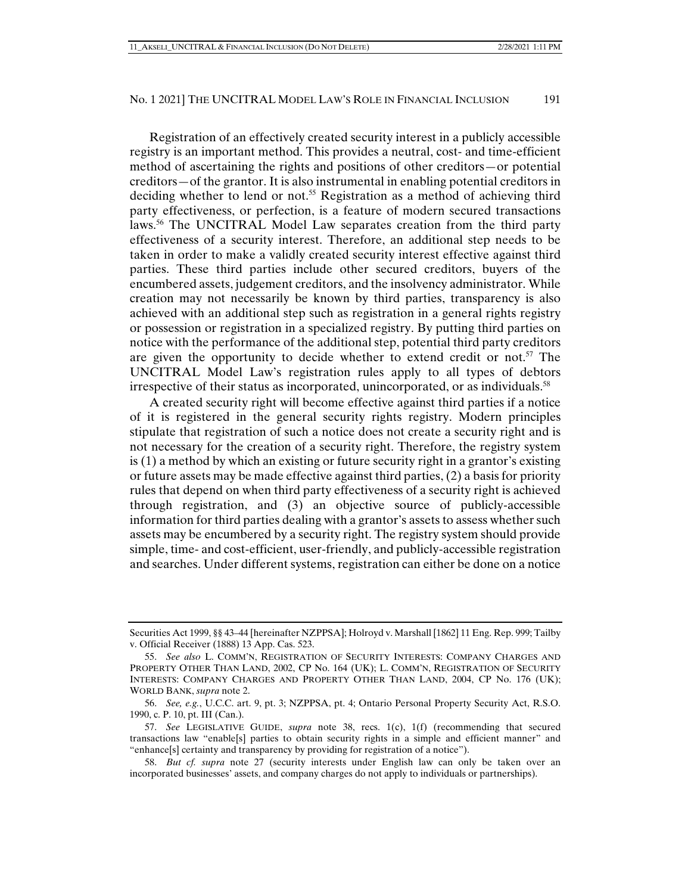Registration of an effectively created security interest in a publicly accessible registry is an important method. This provides a neutral, cost- and time-efficient method of ascertaining the rights and positions of other creditors—or potential creditors—of the grantor. It is also instrumental in enabling potential creditors in deciding whether to lend or not.55 Registration as a method of achieving third party effectiveness, or perfection, is a feature of modern secured transactions laws.56 The UNCITRAL Model Law separates creation from the third party effectiveness of a security interest. Therefore, an additional step needs to be taken in order to make a validly created security interest effective against third parties. These third parties include other secured creditors, buyers of the encumbered assets, judgement creditors, and the insolvency administrator. While creation may not necessarily be known by third parties, transparency is also achieved with an additional step such as registration in a general rights registry or possession or registration in a specialized registry. By putting third parties on notice with the performance of the additional step, potential third party creditors are given the opportunity to decide whether to extend credit or not.<sup>57</sup> The UNCITRAL Model Law's registration rules apply to all types of debtors irrespective of their status as incorporated, unincorporated, or as individuals.<sup>58</sup>

A created security right will become effective against third parties if a notice of it is registered in the general security rights registry. Modern principles stipulate that registration of such a notice does not create a security right and is not necessary for the creation of a security right. Therefore, the registry system is (1) a method by which an existing or future security right in a grantor's existing or future assets may be made effective against third parties, (2) a basis for priority rules that depend on when third party effectiveness of a security right is achieved through registration, and (3) an objective source of publicly-accessible information for third parties dealing with a grantor's assets to assess whether such assets may be encumbered by a security right. The registry system should provide simple, time- and cost-efficient, user-friendly, and publicly-accessible registration and searches. Under different systems, registration can either be done on a notice

Securities Act 1999, §§ 43–44 [hereinafter NZPPSA]; Holroyd v. Marshall [1862] 11 Eng. Rep. 999; Tailby v. Official Receiver (1888) 13 App. Cas. 523.

 <sup>55.</sup> *See also* L. COMM'N, REGISTRATION OF SECURITY INTERESTS: COMPANY CHARGES AND PROPERTY OTHER THAN LAND, 2002, CP No. 164 (UK); L. COMM'N, REGISTRATION OF SECURITY INTERESTS: COMPANY CHARGES AND PROPERTY OTHER THAN LAND, 2004, CP No. 176 (UK); WORLD BANK, *supra* note 2.

 <sup>56.</sup> *See, e.g.*, U.C.C. art. 9, pt. 3; NZPPSA, pt. 4; Ontario Personal Property Security Act, R.S.O. 1990, c. P. 10, pt. III (Can.).

 <sup>57.</sup> *See* LEGISLATIVE GUIDE, *supra* note 38, recs. 1(c), 1(f) (recommending that secured transactions law "enable[s] parties to obtain security rights in a simple and efficient manner" and "enhance[s] certainty and transparency by providing for registration of a notice").

 <sup>58.</sup> *But cf. supra* note 27 (security interests under English law can only be taken over an incorporated businesses' assets, and company charges do not apply to individuals or partnerships).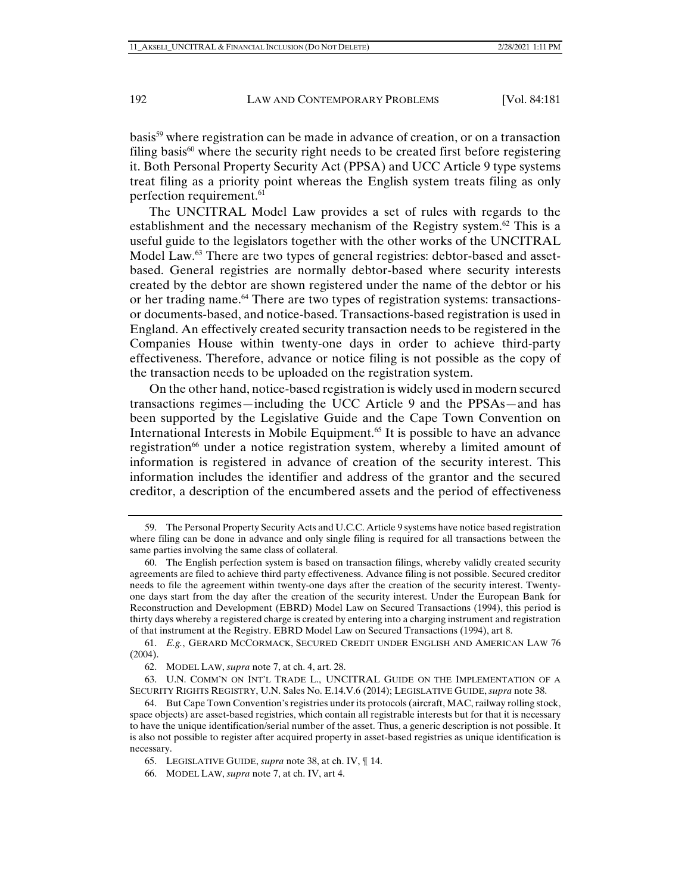basis<sup>59</sup> where registration can be made in advance of creation, or on a transaction filing basis $60$  where the security right needs to be created first before registering it. Both Personal Property Security Act (PPSA) and UCC Article 9 type systems treat filing as a priority point whereas the English system treats filing as only perfection requirement.61

The UNCITRAL Model Law provides a set of rules with regards to the establishment and the necessary mechanism of the Registry system.<sup>62</sup> This is a useful guide to the legislators together with the other works of the UNCITRAL Model Law.<sup>63</sup> There are two types of general registries: debtor-based and assetbased. General registries are normally debtor-based where security interests created by the debtor are shown registered under the name of the debtor or his or her trading name.<sup>64</sup> There are two types of registration systems: transactionsor documents-based, and notice-based. Transactions-based registration is used in England. An effectively created security transaction needs to be registered in the Companies House within twenty-one days in order to achieve third-party effectiveness. Therefore, advance or notice filing is not possible as the copy of the transaction needs to be uploaded on the registration system.

On the other hand, notice-based registration is widely used in modern secured transactions regimes—including the UCC Article 9 and the PPSAs—and has been supported by the Legislative Guide and the Cape Town Convention on International Interests in Mobile Equipment.65 It is possible to have an advance registration<sup>66</sup> under a notice registration system, whereby a limited amount of information is registered in advance of creation of the security interest. This information includes the identifier and address of the grantor and the secured creditor, a description of the encumbered assets and the period of effectiveness

 63. U.N. COMM'N ON INT'L TRADE L., UNCITRAL GUIDE ON THE IMPLEMENTATION OF A SECURITY RIGHTS REGISTRY, U.N. Sales No. E.14.V.6 (2014); LEGISLATIVE GUIDE, *supra* note 38.

 <sup>59.</sup> The Personal Property Security Acts and U.C.C. Article 9 systems have notice based registration where filing can be done in advance and only single filing is required for all transactions between the same parties involving the same class of collateral.

 <sup>60.</sup> The English perfection system is based on transaction filings, whereby validly created security agreements are filed to achieve third party effectiveness. Advance filing is not possible. Secured creditor needs to file the agreement within twenty-one days after the creation of the security interest. Twentyone days start from the day after the creation of the security interest. Under the European Bank for Reconstruction and Development (EBRD) Model Law on Secured Transactions (1994), this period is thirty days whereby a registered charge is created by entering into a charging instrument and registration of that instrument at the Registry. EBRD Model Law on Secured Transactions (1994), art 8.

 <sup>61.</sup> *E.g.*, GERARD MCCORMACK, SECURED CREDIT UNDER ENGLISH AND AMERICAN LAW 76 (2004).

 <sup>62.</sup> MODEL LAW, *supra* note 7, at ch. 4, art. 28.

 <sup>64.</sup> But Cape Town Convention's registries under its protocols (aircraft, MAC, railway rolling stock, space objects) are asset-based registries, which contain all registrable interests but for that it is necessary to have the unique identification/serial number of the asset. Thus, a generic description is not possible. It is also not possible to register after acquired property in asset-based registries as unique identification is necessary.

 <sup>65.</sup> LEGISLATIVE GUIDE, *supra* note 38, at ch. IV, ¶ 14.

 <sup>66.</sup> MODEL LAW, *supra* note 7, at ch. IV, art 4.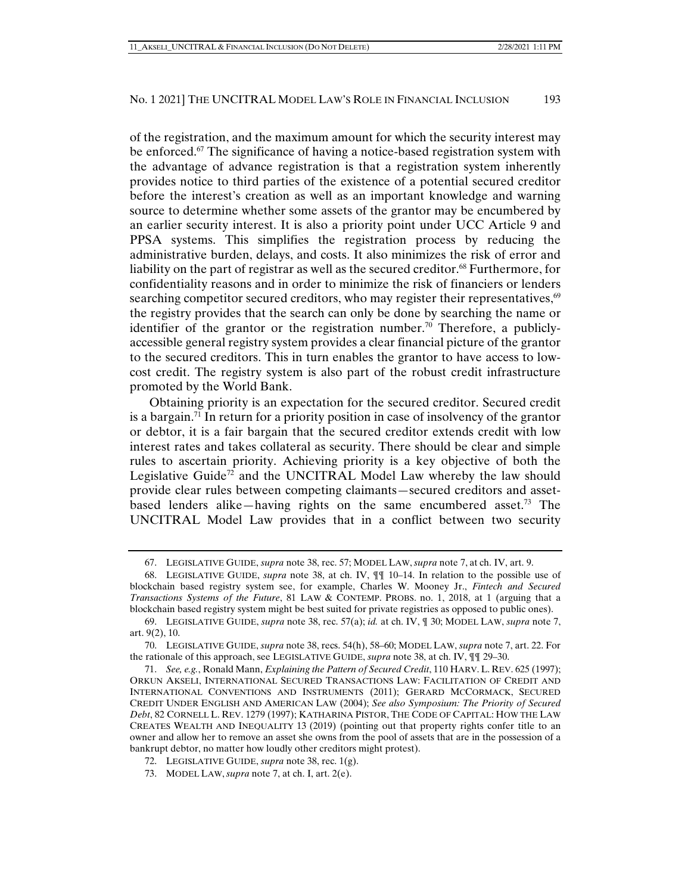of the registration, and the maximum amount for which the security interest may be enforced.<sup>67</sup> The significance of having a notice-based registration system with the advantage of advance registration is that a registration system inherently provides notice to third parties of the existence of a potential secured creditor before the interest's creation as well as an important knowledge and warning source to determine whether some assets of the grantor may be encumbered by an earlier security interest. It is also a priority point under UCC Article 9 and PPSA systems. This simplifies the registration process by reducing the administrative burden, delays, and costs. It also minimizes the risk of error and liability on the part of registrar as well as the secured creditor.<sup>68</sup> Furthermore, for confidentiality reasons and in order to minimize the risk of financiers or lenders searching competitor secured creditors, who may register their representatives,<sup>69</sup> the registry provides that the search can only be done by searching the name or identifier of the grantor or the registration number.<sup>70</sup> Therefore, a publiclyaccessible general registry system provides a clear financial picture of the grantor to the secured creditors. This in turn enables the grantor to have access to lowcost credit. The registry system is also part of the robust credit infrastructure promoted by the World Bank.

Obtaining priority is an expectation for the secured creditor. Secured credit is a bargain.<sup>71</sup> In return for a priority position in case of insolvency of the grantor or debtor, it is a fair bargain that the secured creditor extends credit with low interest rates and takes collateral as security. There should be clear and simple rules to ascertain priority. Achieving priority is a key objective of both the Legislative Guide<sup>72</sup> and the UNCITRAL Model Law whereby the law should provide clear rules between competing claimants—secured creditors and assetbased lenders alike—having rights on the same encumbered asset.<sup>73</sup> The UNCITRAL Model Law provides that in a conflict between two security

 <sup>67.</sup> LEGISLATIVE GUIDE, *supra* note 38, rec. 57; MODEL LAW, *supra* note 7, at ch. IV, art. 9.

 <sup>68.</sup> LEGISLATIVE GUIDE, *supra* note 38, at ch. IV, ¶¶ 10–14. In relation to the possible use of blockchain based registry system see, for example, Charles W. Mooney Jr., *Fintech and Secured Transactions Systems of the Future*, 81 LAW & CONTEMP. PROBS. no. 1, 2018, at 1 (arguing that a blockchain based registry system might be best suited for private registries as opposed to public ones).

 <sup>69.</sup> LEGISLATIVE GUIDE, *supra* note 38, rec. 57(a); *id.* at ch. IV, ¶ 30; MODEL LAW, *supra* note 7, art. 9(2), 10.

 <sup>70.</sup> LEGISLATIVE GUIDE, *supra* note 38, recs. 54(h), 58–60; MODEL LAW, *supra* note 7, art. 22. For the rationale of this approach, see LEGISLATIVE GUIDE, *supra* note 38, at ch. IV, ¶¶ 29–30.

 <sup>71.</sup> *See, e.g.*, Ronald Mann, *Explaining the Pattern of Secured Credit*, 110 HARV. L. REV. 625 (1997); ORKUN AKSELI, INTERNATIONAL SECURED TRANSACTIONS LAW: FACILITATION OF CREDIT AND INTERNATIONAL CONVENTIONS AND INSTRUMENTS (2011); GERARD MCCORMACK, SECURED CREDIT UNDER ENGLISH AND AMERICAN LAW (2004); *See also Symposium: The Priority of Secured Debt*, 82 CORNELL L. REV. 1279 (1997); KATHARINA PISTOR, THE CODE OF CAPITAL: HOW THE LAW CREATES WEALTH AND INEQUALITY 13 (2019) (pointing out that property rights confer title to an owner and allow her to remove an asset she owns from the pool of assets that are in the possession of a bankrupt debtor, no matter how loudly other creditors might protest).

 <sup>72.</sup> LEGISLATIVE GUIDE, *supra* note 38, rec. 1(g).

 <sup>73.</sup> MODEL LAW, *supra* note 7, at ch. I, art. 2(e).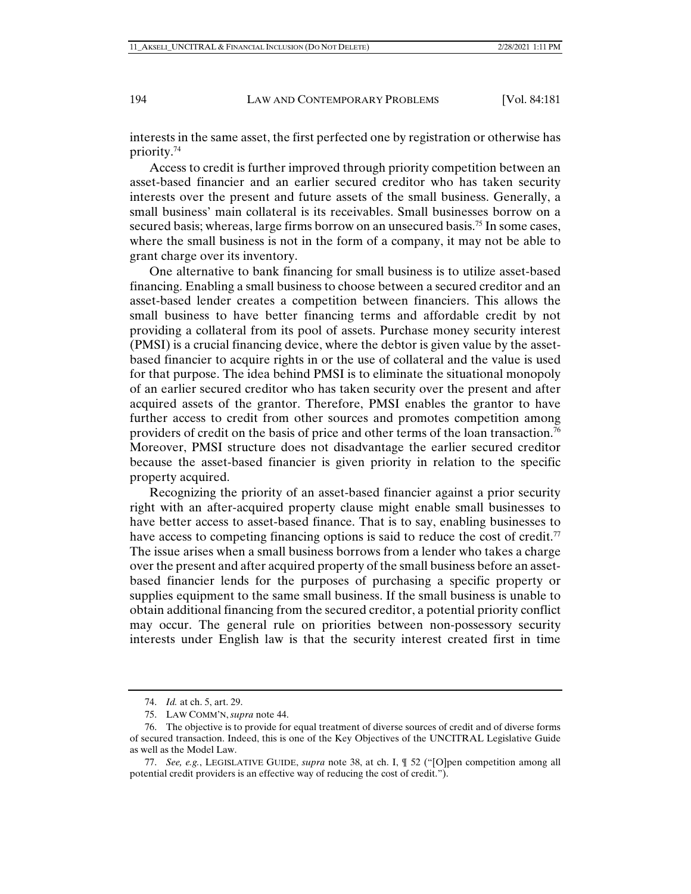interests in the same asset, the first perfected one by registration or otherwise has priority.74

Access to credit is further improved through priority competition between an asset-based financier and an earlier secured creditor who has taken security interests over the present and future assets of the small business. Generally, a small business' main collateral is its receivables. Small businesses borrow on a secured basis; whereas, large firms borrow on an unsecured basis.75 In some cases, where the small business is not in the form of a company, it may not be able to grant charge over its inventory.

One alternative to bank financing for small business is to utilize asset-based financing. Enabling a small business to choose between a secured creditor and an asset-based lender creates a competition between financiers. This allows the small business to have better financing terms and affordable credit by not providing a collateral from its pool of assets. Purchase money security interest (PMSI) is a crucial financing device, where the debtor is given value by the assetbased financier to acquire rights in or the use of collateral and the value is used for that purpose. The idea behind PMSI is to eliminate the situational monopoly of an earlier secured creditor who has taken security over the present and after acquired assets of the grantor. Therefore, PMSI enables the grantor to have further access to credit from other sources and promotes competition among providers of credit on the basis of price and other terms of the loan transaction.76 Moreover, PMSI structure does not disadvantage the earlier secured creditor because the asset-based financier is given priority in relation to the specific property acquired.

Recognizing the priority of an asset-based financier against a prior security right with an after-acquired property clause might enable small businesses to have better access to asset-based finance. That is to say, enabling businesses to have access to competing financing options is said to reduce the cost of credit.<sup>77</sup> The issue arises when a small business borrows from a lender who takes a charge over the present and after acquired property of the small business before an assetbased financier lends for the purposes of purchasing a specific property or supplies equipment to the same small business. If the small business is unable to obtain additional financing from the secured creditor, a potential priority conflict may occur. The general rule on priorities between non-possessory security interests under English law is that the security interest created first in time

 <sup>74.</sup> *Id.* at ch. 5, art. 29.

 <sup>75.</sup> LAW COMM'N, *supra* note 44.

 <sup>76.</sup> The objective is to provide for equal treatment of diverse sources of credit and of diverse forms of secured transaction. Indeed, this is one of the Key Objectives of the UNCITRAL Legislative Guide as well as the Model Law.

 <sup>77.</sup> *See, e.g.*, LEGISLATIVE GUIDE, *supra* note 38, at ch. I, ¶ 52 ("[O]pen competition among all potential credit providers is an effective way of reducing the cost of credit.").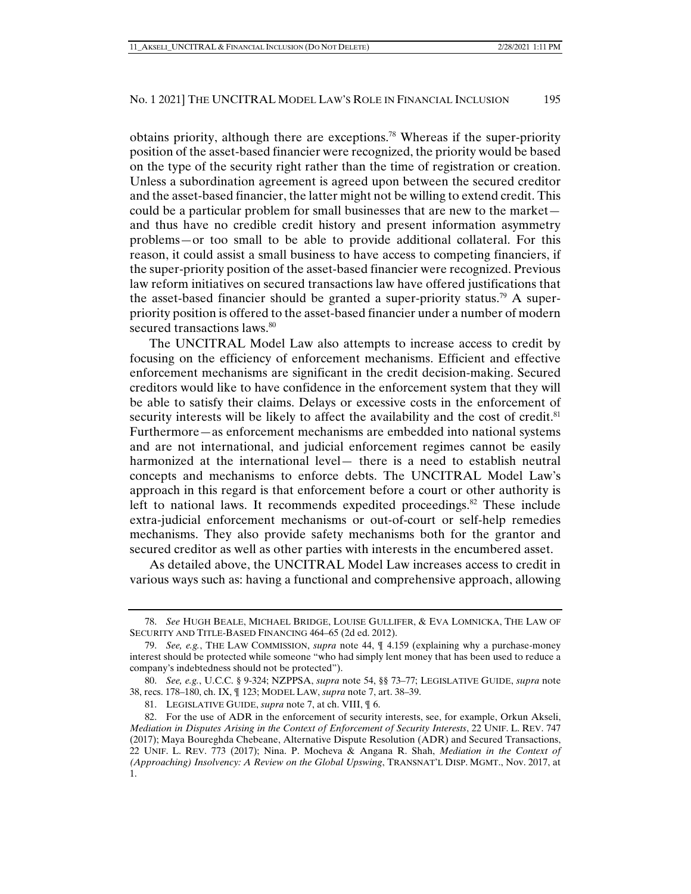obtains priority, although there are exceptions.<sup>78</sup> Whereas if the super-priority position of the asset-based financier were recognized, the priority would be based on the type of the security right rather than the time of registration or creation. Unless a subordination agreement is agreed upon between the secured creditor and the asset-based financier, the latter might not be willing to extend credit. This could be a particular problem for small businesses that are new to the market and thus have no credible credit history and present information asymmetry problems—or too small to be able to provide additional collateral. For this reason, it could assist a small business to have access to competing financiers, if the super-priority position of the asset-based financier were recognized. Previous law reform initiatives on secured transactions law have offered justifications that the asset-based financier should be granted a super-priority status.<sup>79</sup> A superpriority position is offered to the asset-based financier under a number of modern secured transactions laws.<sup>80</sup>

The UNCITRAL Model Law also attempts to increase access to credit by focusing on the efficiency of enforcement mechanisms. Efficient and effective enforcement mechanisms are significant in the credit decision-making. Secured creditors would like to have confidence in the enforcement system that they will be able to satisfy their claims. Delays or excessive costs in the enforcement of security interests will be likely to affect the availability and the cost of credit.<sup>81</sup> Furthermore—as enforcement mechanisms are embedded into national systems and are not international, and judicial enforcement regimes cannot be easily harmonized at the international level— there is a need to establish neutral concepts and mechanisms to enforce debts. The UNCITRAL Model Law's approach in this regard is that enforcement before a court or other authority is left to national laws. It recommends expedited proceedings. $82$  These include extra-judicial enforcement mechanisms or out-of-court or self-help remedies mechanisms. They also provide safety mechanisms both for the grantor and secured creditor as well as other parties with interests in the encumbered asset.

As detailed above, the UNCITRAL Model Law increases access to credit in various ways such as: having a functional and comprehensive approach, allowing

 <sup>78.</sup> *See* HUGH BEALE, MICHAEL BRIDGE, LOUISE GULLIFER, & EVA LOMNICKA, THE LAW OF SECURITY AND TITLE-BASED FINANCING 464–65 (2d ed. 2012).

 <sup>79.</sup> *See, e.g.*, THE LAW COMMISSION, *supra* note 44, ¶ 4.159 (explaining why a purchase-money interest should be protected while someone "who had simply lent money that has been used to reduce a company's indebtedness should not be protected").

 <sup>80.</sup> *See, e.g.*, U.C.C. § 9-324; NZPPSA, *supra* note 54, §§ 73–77; LEGISLATIVE GUIDE, *supra* note 38, recs. 178–180, ch. IX, ¶ 123; MODEL LAW, *supra* note 7, art. 38–39.

 <sup>81.</sup> LEGISLATIVE GUIDE, *supra* note 7, at ch. VIII, ¶ 6.

 <sup>82.</sup> For the use of ADR in the enforcement of security interests, see, for example, Orkun Akseli, *Mediation in Disputes Arising in the Context of Enforcement of Security Interests*, 22 UNIF. L. REV. 747 (2017); Maya Boureghda Chebeane, Alternative Dispute Resolution (ADR) and Secured Transactions, 22 UNIF. L. REV. 773 (2017); Nina. P. Mocheva & Angana R. Shah, *Mediation in the Context of (Approaching) Insolvency: A Review on the Global Upswing*, TRANSNAT'L DISP. MGMT., Nov. 2017, at 1.